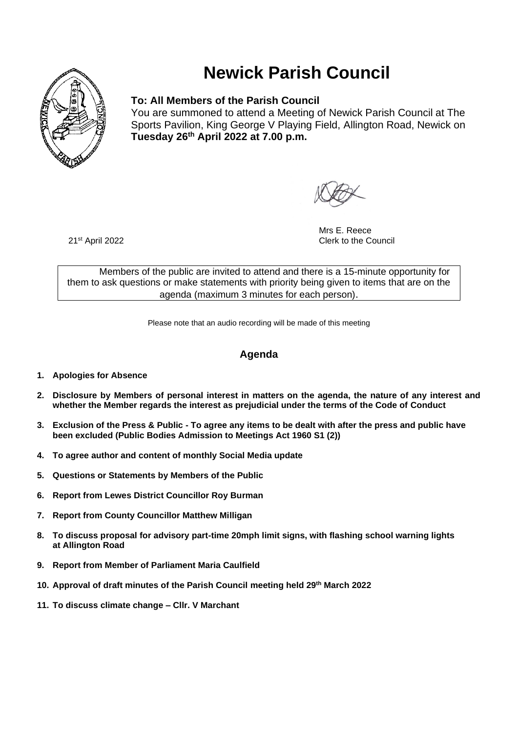

# **Newick Parish Council**

# **To: All Members of the Parish Council**

You are summoned to attend a Meeting of Newick Parish Council at The Sports Pavilion, King George V Playing Field, Allington Road, Newick on **Tuesday 26 th April 2022 at 7.00 p.m.** 

Mrs E. Reece **Clerk to the Council** 

21st April 2022

Members of the public are invited to attend and there is a 15-minute opportunity for them to ask questions or make statements with priority being given to items that are on the agenda (maximum 3 minutes for each person).

Please note that an audio recording will be made of this meeting

# **Agenda**

- **1. Apologies for Absence**
- **2. Disclosure by Members of personal interest in matters on the agenda, the nature of any interest and whether the Member regards the interest as prejudicial under the terms of the Code of Conduct**
- **3. Exclusion of the Press & Public - To agree any items to be dealt with after the press and public have been excluded (Public Bodies Admission to Meetings Act 1960 S1 (2))**
- **4. To agree author and content of monthly Social Media update**
- **5. Questions or Statements by Members of the Public**
- **6. Report from Lewes District Councillor Roy Burman**
- **7. Report from County Councillor Matthew Milligan**
- **8. To discuss proposal for advisory part-time 20mph limit signs, with flashing school warning lights at Allington Road**
- **9. Report from Member of Parliament Maria Caulfield**
- **10. Approval of draft minutes of the Parish Council meeting held 29 th March 2022**
- **11. To discuss climate change – Cllr. V Marchant**